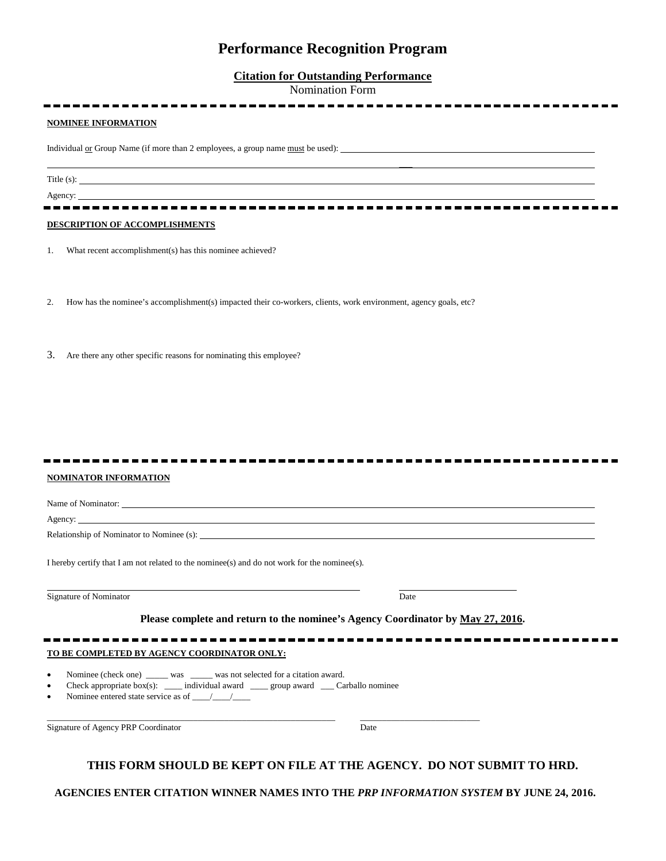# **Performance Recognition Program**

### **Citation for Outstanding Performance**

Nomination Form

 $\overline{\phantom{a}}$ 

-------------------------------------

-------------------

#### **NOMINEE INFORMATION**

Individual <u>or</u> Group Name (if more than 2 employees, a group name <u>must</u> be used):

Title (s):

### Agency:

**DESCRIPTION OF ACCOMPLISHMENTS**

1. What recent accomplishment(s) has this nominee achieved?

- 2. How has the nominee's accomplishment(s) impacted their co-workers, clients, work environment, agency goals, etc?
- 3. Are there any other specific reasons for nominating this employee?

-----------------------

#### **NOMINATOR INFORMATION**

Name of Nominator: Agency: Relationship of Nominator to Nominee (s): I hereby certify that I am not related to the nominee(s) and do not work for the nominee(s). Signature of Nominator Date and Separature of Nominator Date and Separature of Nominator Date **Please complete and return to the nominee's Agency Coordinator by May 27, 2016. TO BE COMPLETED BY AGENCY COORDINATOR ONLY:** Nominee (check one) was was was not selected for a citation award. • Check appropriate box(s): \_\_\_\_ individual award \_\_\_\_ group award \_\_\_ Carballo nominee • Nominee entered state service as of \_\_\_\_/\_\_\_\_/\_\_\_\_

Signature of Agency PRP Coordinator Date

\_\_\_\_\_\_\_\_\_\_\_\_\_\_\_\_\_\_\_\_\_\_\_\_\_\_\_\_\_\_\_\_\_\_\_\_\_\_\_\_\_\_\_\_\_\_\_\_\_\_\_\_\_\_\_\_\_\_\_\_\_\_\_\_\_ \_\_\_\_\_\_\_\_\_\_\_\_\_\_\_\_\_\_\_\_\_\_\_\_\_\_\_

## **THIS FORM SHOULD BE KEPT ON FILE AT THE AGENCY. DO NOT SUBMIT TO HRD.**

**AGENCIES ENTER CITATION WINNER NAMES INTO THE** *PRP INFORMATION SYSTEM* **BY JUNE 24, 2016.**